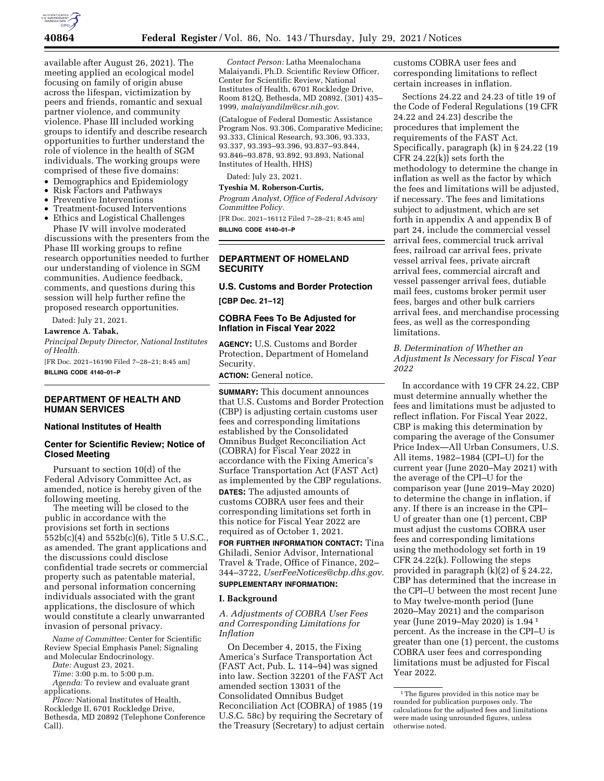

available after August 26, 2021). The meeting applied an ecological model focusing on family of origin abuse across the lifespan, victimization by peers and friends, romantic and sexual partner violence, and community violence. Phase III included working groups to identify and describe research opportunities to further understand the role of violence in the health of SGM individuals. The working groups were comprised of these five domains:

- Demographics and Epidemiology
- Risk Factors and Pathways
- Preventive Interventions
- Treatment-focused Interventions
- Ethics and Logistical Challenges

Phase IV will involve moderated discussions with the presenters from the Phase III working groups to refine research opportunities needed to further our understanding of violence in SGM communities. Audience feedback, comments, and questions during this session will help further refine the proposed research opportunities.

Dated: July 21, 2021.

**Lawrence A. Tabak,** 

*Principal Deputy Director, National Institutes of Health.* 

[FR Doc. 2021–16190 Filed 7–28–21; 8:45 am] **BILLING CODE 4140–01–P** 

## **DEPARTMENT OF HEALTH AND HUMAN SERVICES**

# **National Institutes of Health**

## **Center for Scientific Review; Notice of Closed Meeting**

Pursuant to section 10(d) of the Federal Advisory Committee Act, as amended, notice is hereby given of the following meeting.

The meeting will be closed to the public in accordance with the provisions set forth in sections 552b(c)(4) and 552b(c)(6), Title 5 U.S.C., as amended. The grant applications and the discussions could disclose confidential trade secrets or commercial property such as patentable material, and personal information concerning individuals associated with the grant applications, the disclosure of which would constitute a clearly unwarranted invasion of personal privacy.

*Name of Committee:* Center for Scientific Review Special Emphasis Panel; Signaling and Molecular Endocrinology.

*Date:* August 23, 2021.

*Time:* 3:00 p.m. to 5:00 p.m.

*Agenda:* To review and evaluate grant applications.

*Place:* National Institutes of Health, Rockledge II, 6701 Rockledge Drive, Bethesda, MD 20892 (Telephone Conference Call).

*Contact Person:* Latha Meenalochana Malaiyandi, Ph.D. Scientific Review Officer, Center for Scientific Review, National Institutes of Health, 6701 Rockledge Drive, Room 812Q, Bethesda, MD 20892, (301) 435– 1999, *[malaiyandilm@csr.nih.gov](mailto:malaiyandilm@csr.nih.gov)*.

(Catalogue of Federal Domestic Assistance Program Nos. 93.306, Comparative Medicine; 93.333, Clinical Research, 93.306, 93.333, 93.337, 93.393–93.396, 93.837–93.844, 93.846–93.878, 93.892, 93.893, National Institutes of Health, HHS)

Dated: July 23, 2021.

**Tyeshia M. Roberson-Curtis,** 

*Program Analyst, Office of Federal Advisory Committee Policy.* 

[FR Doc. 2021–16112 Filed 7–28–21; 8:45 am] **BILLING CODE 4140–01–P** 

### **DEPARTMENT OF HOMELAND SECURITY**

## **U.S. Customs and Border Protection**

**[CBP Dec. 21–12]** 

## **COBRA Fees To Be Adjusted for Inflation in Fiscal Year 2022**

**AGENCY:** U.S. Customs and Border Protection, Department of Homeland Security.

**ACTION:** General notice.

**SUMMARY:** This document announces that U.S. Customs and Border Protection (CBP) is adjusting certain customs user fees and corresponding limitations established by the Consolidated Omnibus Budget Reconciliation Act (COBRA) for Fiscal Year 2022 in accordance with the Fixing America's Surface Transportation Act (FAST Act) as implemented by the CBP regulations. **DATES:** The adjusted amounts of customs COBRA user fees and their corresponding limitations set forth in this notice for Fiscal Year 2022 are required as of October 1, 2021.

**FOR FURTHER INFORMATION CONTACT:** Tina Ghiladi, Senior Advisor, International Travel & Trade, Office of Finance, 202– 344–3722, *[UserFeeNotices@cbp.dhs.gov.](mailto:UserFeeNotices@cbp.dhs.gov)* 

# **SUPPLEMENTARY INFORMATION:**

#### **I. Background**

*A. Adjustments of COBRA User Fees and Corresponding Limitations for Inflation* 

On December 4, 2015, the Fixing America's Surface Transportation Act (FAST Act, Pub. L. 114–94) was signed into law. Section 32201 of the FAST Act amended section 13031 of the Consolidated Omnibus Budget Reconciliation Act (COBRA) of 1985 (19 U.S.C. 58c) by requiring the Secretary of the Treasury (Secretary) to adjust certain customs COBRA user fees and corresponding limitations to reflect certain increases in inflation.

Sections 24.22 and 24.23 of title 19 of the Code of Federal Regulations (19 CFR 24.22 and 24.23) describe the procedures that implement the requirements of the FAST Act. Specifically, paragraph (k) in § 24.22 (19 CFR 24.22(k)) sets forth the methodology to determine the change in inflation as well as the factor by which the fees and limitations will be adjusted, if necessary. The fees and limitations subject to adjustment, which are set forth in appendix A and appendix B of part 24, include the commercial vessel arrival fees, commercial truck arrival fees, railroad car arrival fees, private vessel arrival fees, private aircraft arrival fees, commercial aircraft and vessel passenger arrival fees, dutiable mail fees, customs broker permit user fees, barges and other bulk carriers arrival fees, and merchandise processing fees, as well as the corresponding limitations.

## *B. Determination of Whether an Adjustment Is Necessary for Fiscal Year 2022*

In accordance with 19 CFR 24.22, CBP must determine annually whether the fees and limitations must be adjusted to reflect inflation. For Fiscal Year 2022, CBP is making this determination by comparing the average of the Consumer Price Index—All Urban Consumers, U.S. All items, 1982–1984 (CPI–U) for the current year (June 2020–May 2021) with the average of the CPI–U for the comparison year (June 2019–May 2020) to determine the change in inflation, if any. If there is an increase in the CPI– U of greater than one (1) percent, CBP must adjust the customs COBRA user fees and corresponding limitations using the methodology set forth in 19 CFR 24.22(k). Following the steps provided in paragraph (k)(2) of § 24.22, CBP has determined that the increase in the CPI–U between the most recent June to May twelve-month period (June 2020–May 2021) and the comparison year (June 2019–May 2020) is 1.94 <sup>1</sup> percent. As the increase in the CPI–U is greater than one (1) percent, the customs COBRA user fees and corresponding limitations must be adjusted for Fiscal Year 2022.

<sup>&</sup>lt;sup>1</sup>The figures provided in this notice may be rounded for publication purposes only. The calculations for the adjusted fees and limitations were made using unrounded figures, unless otherwise noted.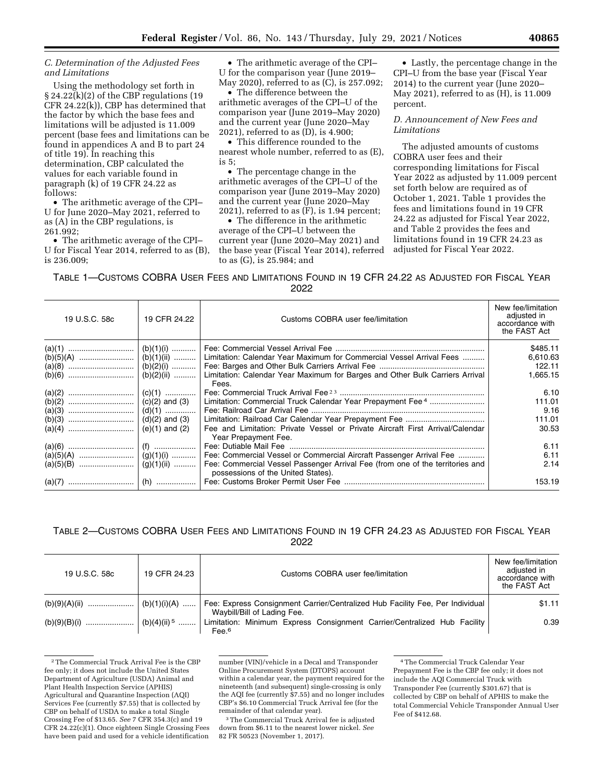### *C. Determination of the Adjusted Fees and Limitations*

Using the methodology set forth in § 24.22(k)(2) of the CBP regulations (19 CFR 24.22(k)), CBP has determined that the factor by which the base fees and limitations will be adjusted is 11.009 percent (base fees and limitations can be found in appendices A and B to part 24 of title 19). In reaching this determination, CBP calculated the values for each variable found in paragraph (k) of 19 CFR 24.22 as follows:

• The arithmetic average of the CPI– U for June 2020–May 2021, referred to as (A) in the CBP regulations, is 261.992;

• The arithmetic average of the CPI– U for Fiscal Year 2014, referred to as (B), is 236.009;

• The arithmetic average of the CPI– U for the comparison year (June 2019– May 2020), referred to as (C), is 257.092;

• The difference between the arithmetic averages of the CPI–U of the comparison year (June 2019–May 2020) and the current year (June 2020–May 2021), referred to as (D), is 4.900;

• This difference rounded to the nearest whole number, referred to as (E), is 5;

• The percentage change in the arithmetic averages of the CPI–U of the comparison year (June 2019–May 2020) and the current year (June 2020–May 2021), referred to as (F), is 1.94 percent;

• The difference in the arithmetic average of the CPI–U between the current year (June 2020–May 2021) and the base year (Fiscal Year 2014), referred to as (G), is 25.984; and

• Lastly, the percentage change in the CPI–U from the base year (Fiscal Year 2014) to the current year (June 2020– May 2021), referred to as (H), is 11.009 percent.

*D. Announcement of New Fees and Limitations* 

The adjusted amounts of customs COBRA user fees and their corresponding limitations for Fiscal Year 2022 as adjusted by 11.009 percent set forth below are required as of October 1, 2021. Table 1 provides the fees and limitations found in 19 CFR 24.22 as adjusted for Fiscal Year 2022, and Table 2 provides the fees and limitations found in 19 CFR 24.23 as adjusted for Fiscal Year 2022.

TABLE 1—CUSTOMS COBRA USER FEES AND LIMITATIONS FOUND IN 19 CFR 24.22 AS ADJUSTED FOR FISCAL YEAR 2022

| 19 U.S.C. 58c | 19 CFR 24.22       | Customs COBRA user fee/limitation                                                                                   | New fee/limitation<br>adjusted in<br>accordance with<br>the FAST Act |
|---------------|--------------------|---------------------------------------------------------------------------------------------------------------------|----------------------------------------------------------------------|
|               | (b)(1)(i)          |                                                                                                                     | \$485.11                                                             |
|               | (b)(1)(ii)         | Limitation: Calendar Year Maximum for Commercial Vessel Arrival Fees                                                | 6,610.63                                                             |
|               | $(b)(2)(i)$        |                                                                                                                     | 122.11                                                               |
|               | (b)(2)(ii)         | Limitation: Calendar Year Maximum for Barges and Other Bulk Carriers Arrival<br>Fees.                               | 1,665.15                                                             |
|               | $(c)(1)$           |                                                                                                                     | 6.10                                                                 |
|               |                    | Limitation: Commercial Truck Calendar Year Prepayment Fee <sup>4</sup>                                              | 111.01                                                               |
|               |                    |                                                                                                                     | 9.16                                                                 |
|               |                    |                                                                                                                     | 111.01                                                               |
|               | $(e)(1)$ and $(2)$ | Fee and Limitation: Private Vessel or Private Aircraft First Arrival/Calendar<br>Year Prepayment Fee.               | 30.53                                                                |
|               |                    |                                                                                                                     | 6.11                                                                 |
|               |                    | Fee: Commercial Vessel or Commercial Aircraft Passenger Arrival Fee                                                 | 6.11                                                                 |
|               | $(g)(1)(ii)$       | Fee: Commercial Vessel Passenger Arrival Fee (from one of the territories and<br>possessions of the United States). | 2.14                                                                 |
|               |                    |                                                                                                                     | 153.19                                                               |

# TABLE 2—CUSTOMS COBRA USER FEES AND LIMITATIONS FOUND IN 19 CFR 24.23 AS ADJUSTED FOR FISCAL YEAR 2022

| 19 U.S.C. 58c | 19 CFR 24.23              | Customs COBRA user fee/limitation                                                                            | New fee/limitation<br>adjusted in<br>accordance with<br>the FAST Act |
|---------------|---------------------------|--------------------------------------------------------------------------------------------------------------|----------------------------------------------------------------------|
|               | (b)(1)(i)(A)              | Fee: Express Consignment Carrier/Centralized Hub Facility Fee, Per Individual<br>Waybill/Bill of Lading Fee. | \$1.11                                                               |
|               | $(b)(4)(ii)$ <sup>5</sup> | Limitation: Minimum Express Consignment Carrier/Centralized Hub Facility<br>Fee <sup>6</sup>                 | 0.39                                                                 |

<sup>2</sup>The Commercial Truck Arrival Fee is the CBP fee only; it does not include the United States Department of Agriculture (USDA) Animal and Plant Health Inspection Service (APHIS) Agricultural and Quarantine Inspection (AQI) Services Fee (currently \$7.55) that is collected by CBP on behalf of USDA to make a total Single Crossing Fee of \$13.65. *See* 7 CFR 354.3(c) and 19 CFR 24.22(c)(1). Once eighteen Single Crossing Fees have been paid and used for a vehicle identification

number (VIN)/vehicle in a Decal and Transponder Online Procurement System (DTOPS) account within a calendar year, the payment required for the nineteenth (and subsequent) single-crossing is only the AQI fee (currently \$7.55) and no longer includes CBP's \$6.10 Commercial Truck Arrival fee (for the remainder of that calendar year).

3The Commercial Truck Arrival fee is adjusted down from \$6.11 to the nearest lower nickel. *See*  82 FR 50523 (November 1, 2017).

<sup>4</sup>The Commercial Truck Calendar Year Prepayment Fee is the CBP fee only; it does not include the AQI Commercial Truck with Transponder Fee (currently \$301.67) that is collected by CBP on behalf of APHIS to make the total Commercial Vehicle Transponder Annual User Fee of \$412.68.